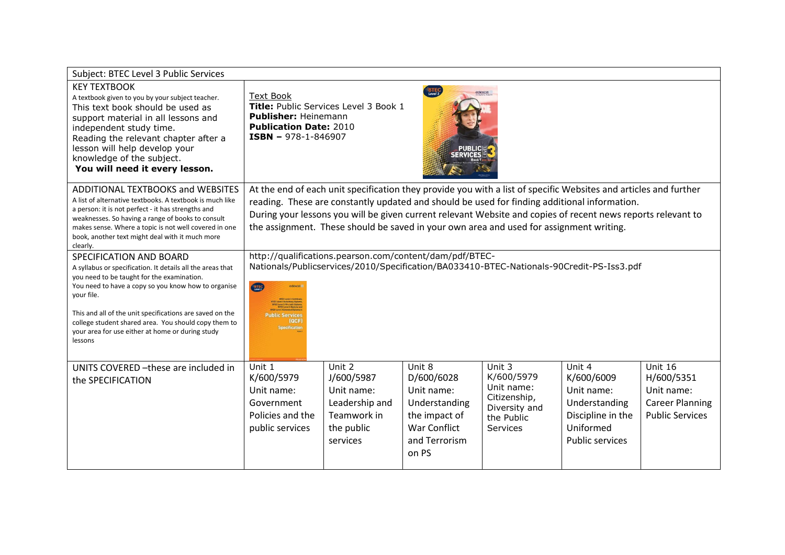| Subject: BTEC Level 3 Public Services                                                                                                                                                                                                                                                                                                                                                       |                                                                                                                                                                                                                                                                                                                                                                                                                             |                                                                                               |                                                                                                                       |                                                                                                      |                                                                                                          |                                                                                         |
|---------------------------------------------------------------------------------------------------------------------------------------------------------------------------------------------------------------------------------------------------------------------------------------------------------------------------------------------------------------------------------------------|-----------------------------------------------------------------------------------------------------------------------------------------------------------------------------------------------------------------------------------------------------------------------------------------------------------------------------------------------------------------------------------------------------------------------------|-----------------------------------------------------------------------------------------------|-----------------------------------------------------------------------------------------------------------------------|------------------------------------------------------------------------------------------------------|----------------------------------------------------------------------------------------------------------|-----------------------------------------------------------------------------------------|
| <b>KEY TEXTBOOK</b><br>A textbook given to you by your subject teacher.<br>This text book should be used as<br>support material in all lessons and<br>independent study time.<br>Reading the relevant chapter after a<br>lesson will help develop your<br>knowledge of the subject.<br>You will need it every lesson.                                                                       | <b>Text Book</b><br>Publisher: Heinemann<br><b>Publication Date: 2010</b><br><b>ISBN - 978-1-846907</b>                                                                                                                                                                                                                                                                                                                     | Title: Public Services Level 3 Book 1                                                         | BTEC <sup>1</sup>                                                                                                     | edexcel                                                                                              |                                                                                                          |                                                                                         |
| <b>ADDITIONAL TEXTBOOKS and WEBSITES</b><br>A list of alternative textbooks. A textbook is much like<br>a person: it is not perfect - it has strengths and<br>weaknesses. So having a range of books to consult<br>makes sense. Where a topic is not well covered in one<br>book, another text might deal with it much more<br>clearly.                                                     | At the end of each unit specification they provide you with a list of specific Websites and articles and further<br>reading. These are constantly updated and should be used for finding additional information.<br>During your lessons you will be given current relevant Website and copies of recent news reports relevant to<br>the assignment. These should be saved in your own area and used for assignment writing. |                                                                                               |                                                                                                                       |                                                                                                      |                                                                                                          |                                                                                         |
| SPECIFICATION AND BOARD<br>A syllabus or specification. It details all the areas that<br>you need to be taught for the examination.<br>You need to have a copy so you know how to organise<br>your file.<br>This and all of the unit specifications are saved on the<br>college student shared area. You should copy them to<br>your area for use either at home or during study<br>lessons | CHIP<br><b>Public Services</b><br><b>IQCF</b><br><b>Specification</b>                                                                                                                                                                                                                                                                                                                                                       | http://qualifications.pearson.com/content/dam/pdf/BTEC-                                       |                                                                                                                       |                                                                                                      | Nationals/Publicservices/2010/Specification/BA033410-BTEC-Nationals-90Credit-PS-Iss3.pdf                 |                                                                                         |
| UNITS COVERED - these are included in<br>the SPECIFICATION                                                                                                                                                                                                                                                                                                                                  | Unit 1<br>K/600/5979<br>Unit name:<br>Government<br>Policies and the<br>public services                                                                                                                                                                                                                                                                                                                                     | Unit 2<br>J/600/5987<br>Unit name:<br>Leadership and<br>Teamwork in<br>the public<br>services | Unit 8<br>D/600/6028<br>Unit name:<br>Understanding<br>the impact of<br><b>War Conflict</b><br>and Terrorism<br>on PS | Unit 3<br>K/600/5979<br>Unit name:<br>Citizenship,<br>Diversity and<br>the Public<br><b>Services</b> | Unit 4<br>K/600/6009<br>Unit name:<br>Understanding<br>Discipline in the<br>Uniformed<br>Public services | Unit 16<br>H/600/5351<br>Unit name:<br><b>Career Planning</b><br><b>Public Services</b> |